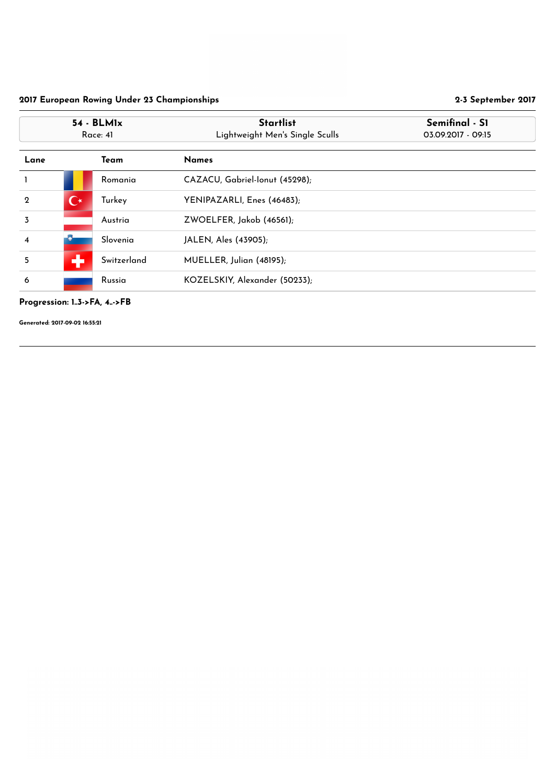## Progression: 1..3->FA, 4..->FB

|                  | $54 - BLM1x$<br>Race: 41 |             | <b>Startlist</b><br>Lightweight Men's Single Sculls | Semifinal - S1<br>03.09.2017 - 09:15 |
|------------------|--------------------------|-------------|-----------------------------------------------------|--------------------------------------|
| Lane             |                          | <b>Team</b> | <b>Names</b>                                        |                                      |
|                  |                          | Romania     | CAZACU, Gabriel-Ionut (45298);                      |                                      |
| $\boldsymbol{2}$ | $\mathbf{C}^{\star}$     | Turkey      | YENIPAZARLI, Enes (46483);                          |                                      |
| $\overline{3}$   |                          | Austria     | ZWOELFER, Jakob (46561);                            |                                      |
| $\overline{4}$   |                          | Slovenia    | JALEN, Ales (43905);                                |                                      |
| 5                | ÷                        | Switzerland | MUELLER, Julian (48195);                            |                                      |
| 6                |                          | Russia      | KOZELSKIY, Alexander (50233);                       |                                      |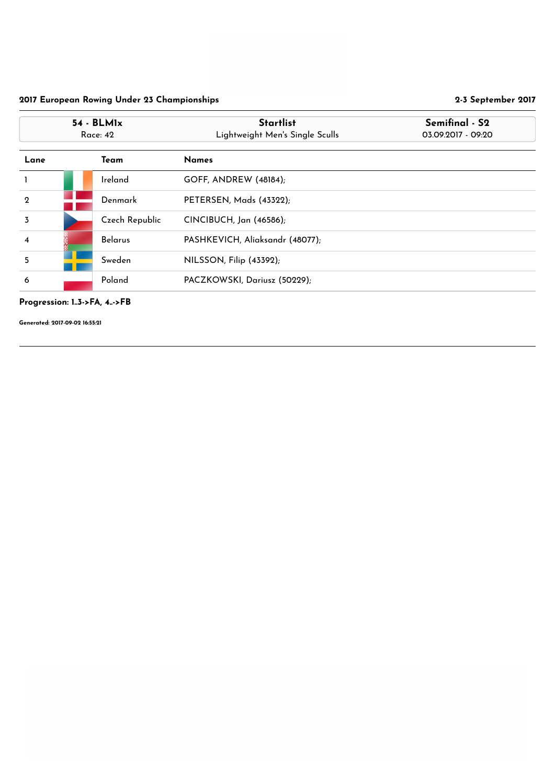## Progression: 1..3->FA, 4..->FB

|                  | $54 - BLM1x$<br><b>Race: 42</b> |                | <b>Startlist</b><br>Lightweight Men's Single Sculls | Semifinal - S2<br>03.09.2017 - 09:20 |
|------------------|---------------------------------|----------------|-----------------------------------------------------|--------------------------------------|
| Lane             |                                 | Team           | <b>Names</b>                                        |                                      |
|                  |                                 | Ireland        | <b>GOFF, ANDREW (48184);</b>                        |                                      |
| $\boldsymbol{2}$ |                                 | Denmark        | PETERSEN, Mads (43322);                             |                                      |
| $\overline{3}$   |                                 | Czech Republic | CINCIBUCH, Jan (46586);                             |                                      |
| 4                |                                 | <b>Belarus</b> | PASHKEVICH, Aliaksandr (48077);                     |                                      |
| 5                |                                 | Sweden         | NILSSON, Filip (43392);                             |                                      |
| 6                |                                 | Poland         | PACZKOWSKI, Dariusz (50229);                        |                                      |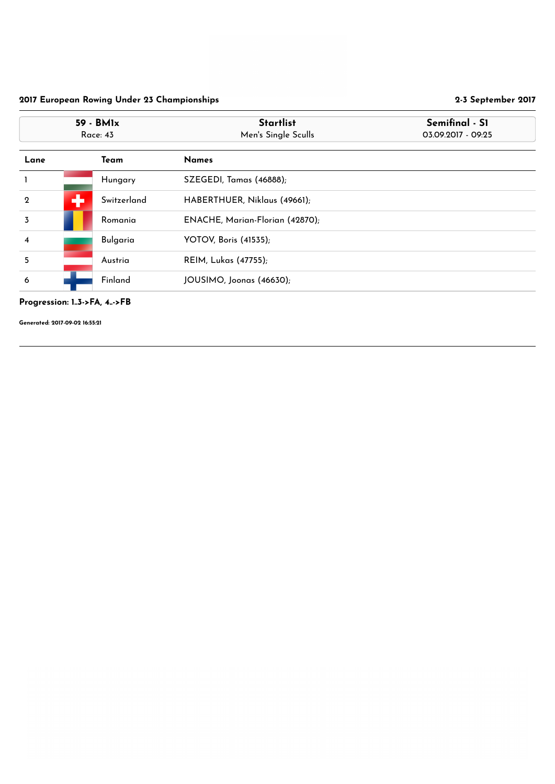## Progression: 1..3->FA, 4..->FB

|                  | 59 - BM1x<br><b>Race: 43</b> |                 | <b>Startlist</b><br>Men's Single Sculls | Semifinal - S1<br>03.09.2017 - 09:25 |
|------------------|------------------------------|-----------------|-----------------------------------------|--------------------------------------|
| Lane             |                              | Team            | <b>Names</b>                            |                                      |
|                  |                              | Hungary         | SZEGEDI, Tamas (46888);                 |                                      |
| $\mathbf{2}$     | ÷                            | Switzerland     | HABERTHUER, Niklaus (49661);            |                                      |
| $\overline{3}$   |                              | Romania         | ENACHE, Marian-Florian (42870);         |                                      |
| $\boldsymbol{4}$ |                              | <b>Bulgaria</b> | <b>YOTOV, Boris (41535);</b>            |                                      |
| 5                |                              | Austria         | <b>REIM, Lukas (47755);</b>             |                                      |
| 6                |                              | Finland         | JOUSIMO, Joonas (46630);                |                                      |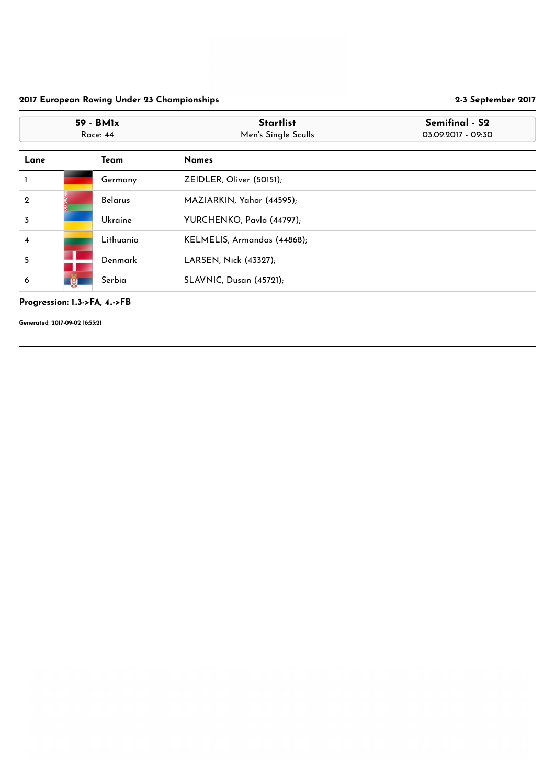## Progression: 1..3->FA, 4..->FB

|                         | 59 - BMIx<br>Race: 44 |                | <b>Startlist</b><br>Men's Single Sculls | Semifinal - S2<br>03.09.2017 - 09:30 |
|-------------------------|-----------------------|----------------|-----------------------------------------|--------------------------------------|
| Lane                    |                       | Team           | <b>Names</b>                            |                                      |
|                         |                       | Germany        | ZEIDLER, Oliver (50151);                |                                      |
| $\boldsymbol{2}$        |                       | <b>Belarus</b> | MAZIARKIN, Yahor (44595);               |                                      |
| $\overline{3}$          |                       | Ukraine        | YURCHENKO, Pavlo (44797);               |                                      |
| $\overline{\mathbf{4}}$ |                       | Lithuania      | KELMELIS, Armandas (44868);             |                                      |
| 5                       |                       | Denmark        | LARSEN, Nick (43327);                   |                                      |
| 6                       | W                     | Serbia         | SLAVNIC, Dusan (45721);                 |                                      |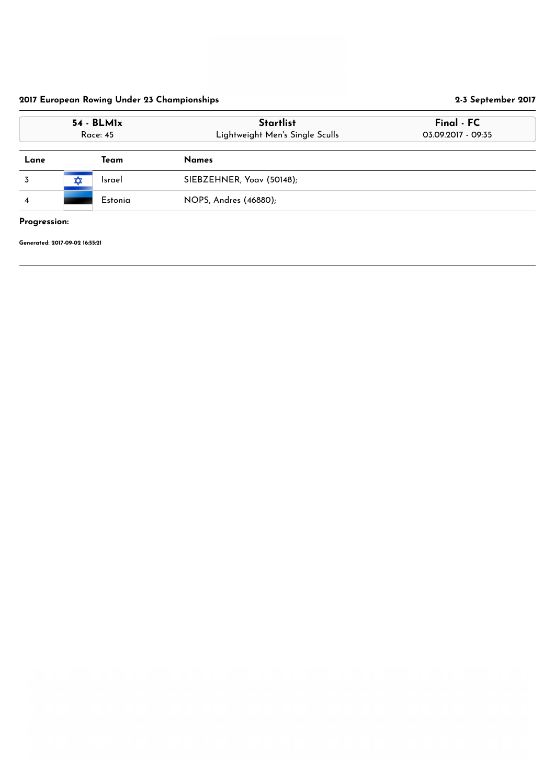| $54 - BLM1x$<br><b>Race: 45</b> |   |               | <b>Startlist</b><br>Lightweight Men's Single Sculls | Final - FC<br>03.09.2017 - 09:35 |  |
|---------------------------------|---|---------------|-----------------------------------------------------|----------------------------------|--|
| Lane                            |   | Team          | <b>Names</b>                                        |                                  |  |
|                                 | ✿ | <b>Israel</b> | SIEBZEHNER, Yoav (50148);                           |                                  |  |
| $\overline{4}$                  |   | Estonia       | NOPS, Andres (46880);                               |                                  |  |
| Progression:                    |   |               |                                                     |                                  |  |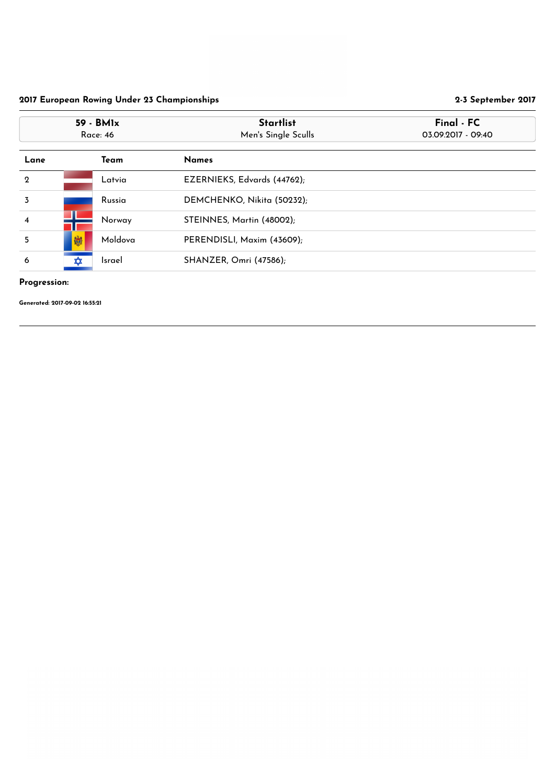## Progression:

| 59 - BM1x<br><b>Race: 46</b> |          |               | <b>Startlist</b><br>Men's Single Sculls | Final - FC<br>03.09.2017 - 09:40 |
|------------------------------|----------|---------------|-----------------------------------------|----------------------------------|
| Lane                         |          | Team          | <b>Names</b>                            |                                  |
| $\mathbf 2$                  |          | Latvia        | EZERNIEKS, Edvards (44762);             |                                  |
| 3                            |          | Russia        | DEMCHENKO, Nikita (50232);              |                                  |
| $\overline{\mathbf{4}}$      |          | Norway        | STEINNES, Martin (48002);               |                                  |
| 5                            | 喇        | Moldova       | PERENDISLI, Maxim (43609);              |                                  |
| 6                            | <b>∡</b> | <b>Israel</b> | SHANZER, Omri (47586);                  |                                  |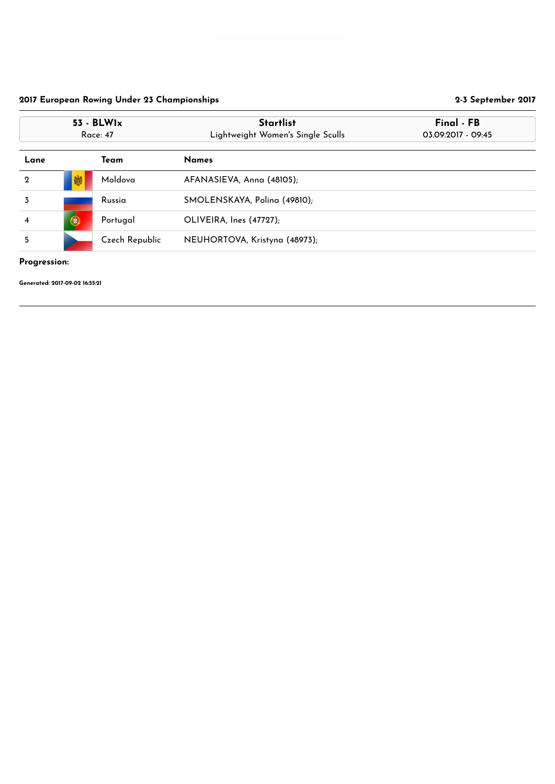## Progression:

| 53 - BLW1x<br><b>Race: 47</b> |   |                | <b>Startlist</b><br>Lightweight Women's Single Sculls | Final - FB<br>03.09.2017 - 09:45 |
|-------------------------------|---|----------------|-------------------------------------------------------|----------------------------------|
| Lane                          |   | Team           | <b>Names</b>                                          |                                  |
| $\overline{2}$                | 喇 | Moldova        | AFANASIEVA, Anna (48105);                             |                                  |
| 3                             |   | Russia         | SMOLENSKAYA, Polina (49810);                          |                                  |
| $\overline{\mathbf{4}}$       | 0 | Portugal       | OLIVEIRA, Ines (47727);                               |                                  |
| 5                             |   | Czech Republic | NEUHORTOVA, Kristyna (48973);                         |                                  |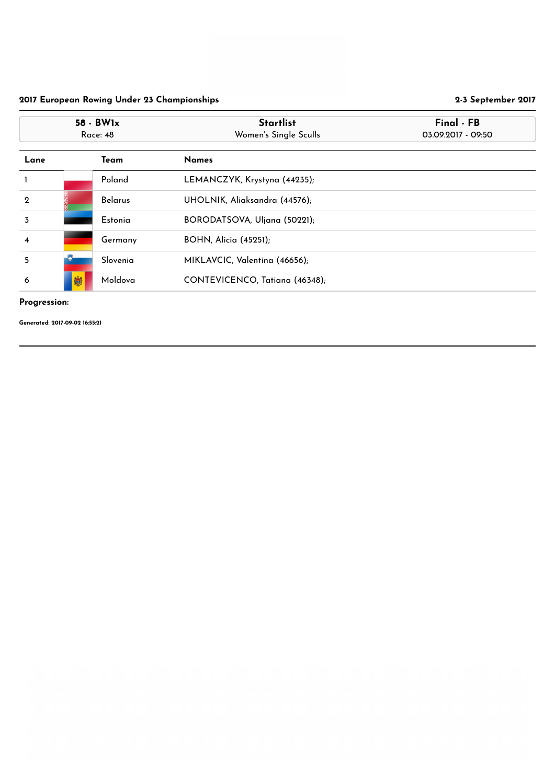## Progression:

|                         | 58 - BW1x<br><b>Race: 48</b> |                | <b>Startlist</b><br>Women's Single Sculls | Final - FB<br>03.09.2017 - 09:50 |
|-------------------------|------------------------------|----------------|-------------------------------------------|----------------------------------|
| Lane                    |                              | Team           | <b>Names</b>                              |                                  |
|                         |                              | Poland         | LEMANCZYK, Krystyna (44235);              |                                  |
| $\overline{2}$          |                              | <b>Belarus</b> | UHOLNIK, Aliaksandra (44576);             |                                  |
| $\overline{3}$          |                              | Estonia        | BORODATSOVA, Uljana (50221);              |                                  |
| $\overline{\mathbf{4}}$ |                              | Germany        | <b>BOHN, Alicia (45251);</b>              |                                  |
| 5                       |                              | Slovenia       | MIKLAVCIC, Valentina (46656);             |                                  |
| 6                       | 喇                            | Moldova        | CONTEVICENCO, Tatiana (46348);            |                                  |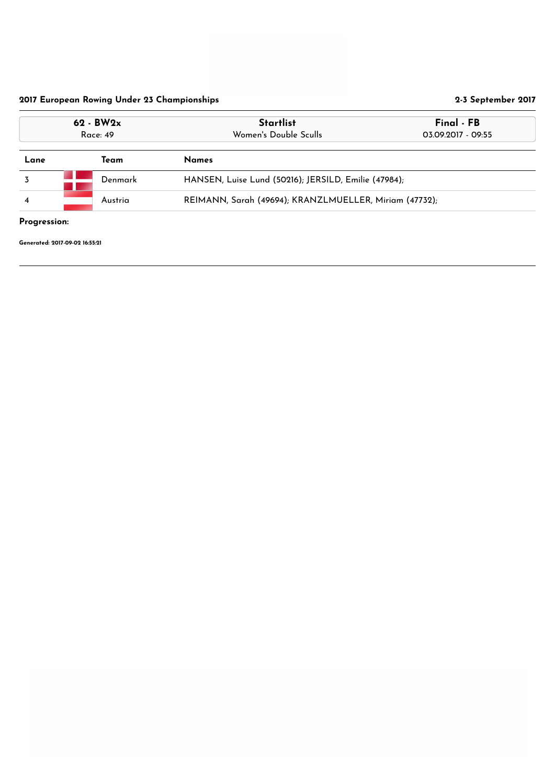| $62 - BW2x$<br><b>Race: 49</b> |         | <b>Startlist</b><br>Final - FB<br>Women's Double Sculls<br>03.09.2017 - 09:55 |  |
|--------------------------------|---------|-------------------------------------------------------------------------------|--|
| Lane                           | Team    | <b>Names</b>                                                                  |  |
|                                | Denmark | HANSEN, Luise Lund (50216); JERSILD, Emilie (47984);                          |  |
| Austria<br>$\overline{4}$      |         | REIMANN, Sarah (49694); KRANZLMUELLER, Miriam (47732);                        |  |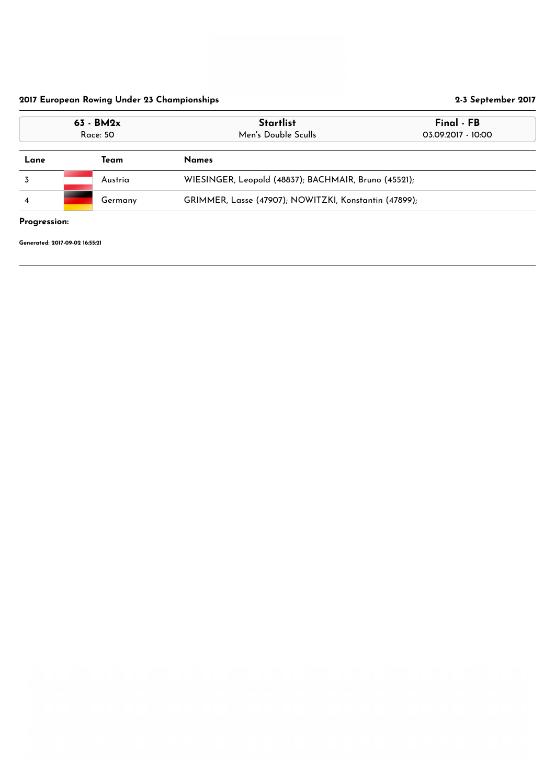| $63 - BM2x$<br><b>Race: 50</b>                                                     |      | <b>Startlist</b><br>Men's Double Sculls | Final - FB<br>03.09.2017 - 10:00 |  |
|------------------------------------------------------------------------------------|------|-----------------------------------------|----------------------------------|--|
| Lane                                                                               | Team | <b>Names</b>                            |                                  |  |
| WIESINGER, Leopold (48837); BACHMAIR, Bruno (45521);<br>Austria                    |      |                                         |                                  |  |
| GRIMMER, Lasse (47907); NOWITZKI, Konstantin (47899);<br>Germany<br>$\overline{4}$ |      |                                         |                                  |  |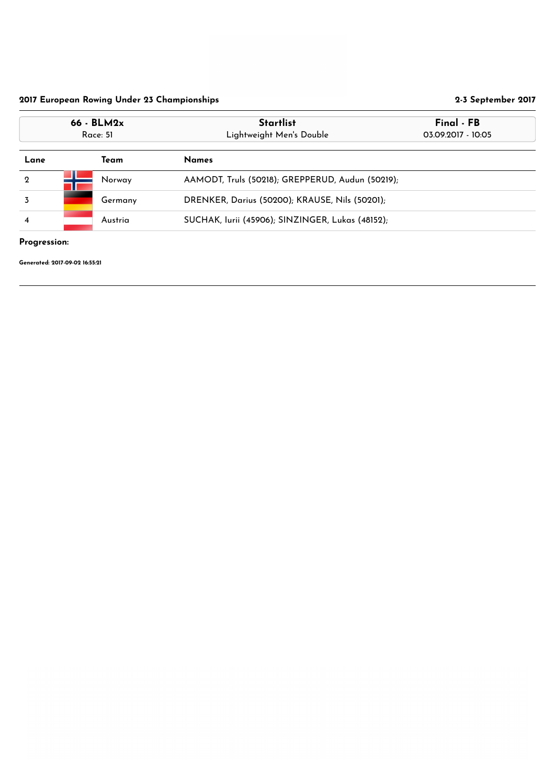## Progression:

| $66 - BLM2x$<br>Race: 51 | <b>Startlist</b><br>Lightweight Men's Double     | Final - FB<br>03.09.2017 - 10:05                 |  |
|--------------------------|--------------------------------------------------|--------------------------------------------------|--|
| Team                     | <b>Names</b>                                     |                                                  |  |
| Norway                   |                                                  |                                                  |  |
| Germany                  | DRENKER, Darius (50200); KRAUSE, Nils (50201);   |                                                  |  |
| Austria                  | SUCHAK, Iurii (45906); SINZINGER, Lukas (48152); |                                                  |  |
|                          |                                                  | AAMODT, Truls (50218); GREPPERUD, Audun (50219); |  |